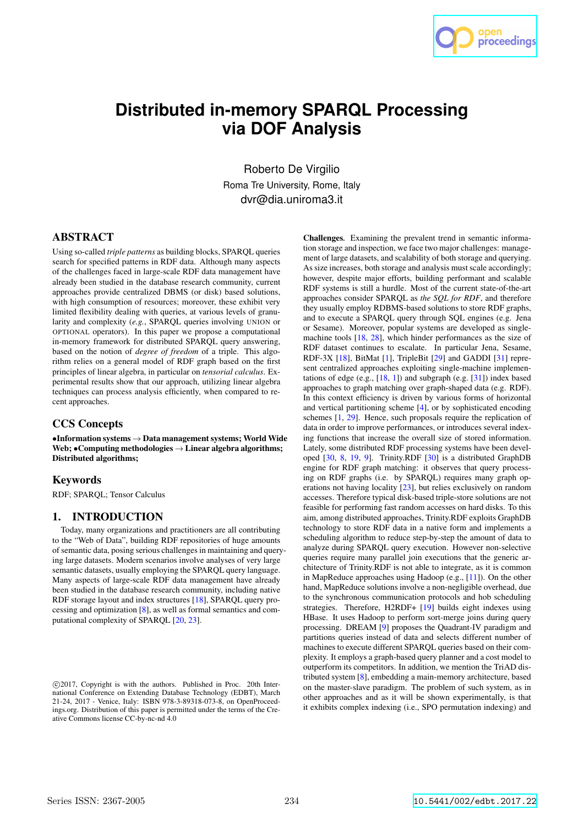

# **Distributed in-memory SPARQL Processing via DOF Analysis**

Roberto De Virgilio Roma Tre University, Rome, Italy dvr@dia.uniroma3.it

## ABSTRACT

Using so-called *triple patterns* as building blocks, SPARQL queries search for specified patterns in RDF data. Although many aspects of the challenges faced in large-scale RDF data management have already been studied in the database research community, current approaches provide centralized DBMS (or disk) based solutions, with high consumption of resources; moreover, these exhibit very limited flexibility dealing with queries, at various levels of granularity and complexity (*e.g.*, SPARQL queries involving UNION or OPTIONAL operators). In this paper we propose a computational in-memory framework for distributed SPARQL query answering, based on the notion of *degree of freedom* of a triple. This algorithm relies on a general model of RDF graph based on the first principles of linear algebra, in particular on *tensorial calculus*. Experimental results show that our approach, utilizing linear algebra techniques can process analysis efficiently, when compared to recent approaches.

## CCS Concepts

•Information systems → Data management systems; World Wide Web;  $\bullet$  Computing methodologies  $\rightarrow$  Linear algebra algorithms; Distributed algorithms;

#### Keywords

RDF; SPARQL; Tensor Calculus

## 1. INTRODUCTION

Today, many organizations and practitioners are all contributing to the "Web of Data", building RDF repositories of huge amounts of semantic data, posing serious challenges in maintaining and querying large datasets. Modern scenarios involve analyses of very large semantic datasets, usually employing the SPARQL query language. Many aspects of large-scale RDF data management have already been studied in the database research community, including native RDF storage layout and index structures [18], SPARQL query processing and optimization [8], as well as formal semantics and computational complexity of SPARQL [20, 23].

Challenges*.* Examining the prevalent trend in semantic information storage and inspection, we face two major challenges: management of large datasets, and scalability of both storage and querying. As size increases, both storage and analysis must scale accordingly; however, despite major efforts, building performant and scalable RDF systems is still a hurdle. Most of the current state-of-the-art approaches consider SPARQL as *the SQL for RDF*, and therefore they usually employ RDBMS-based solutions to store RDF graphs, and to execute a SPARQL query through SQL engines (e.g. Jena or Sesame). Moreover, popular systems are developed as singlemachine tools [18, 28], which hinder performances as the size of RDF dataset continues to escalate. In particular Jena, Sesame, RDF-3X [18], BitMat [1], TripleBit [29] and GADDI [31] represent centralized approaches exploiting single-machine implementations of edge (e.g.,  $[18, 1]$ ) and subgraph (e.g.  $[31]$ ) index based approaches to graph matching over graph-shaped data (e.g. RDF). In this context efficiency is driven by various forms of horizontal and vertical partitioning scheme [4], or by sophisticated encoding schemes [1, 29]. Hence, such proposals require the replication of data in order to improve performances, or introduces several indexing functions that increase the overall size of stored information. Lately, some distributed RDF processing systems have been developed [30, 8, 19, 9]. Trinity.RDF [30] is a distributed GraphDB engine for RDF graph matching: it observes that query processing on RDF graphs (i.e. by SPARQL) requires many graph operations not having locality [23], but relies exclusively on random accesses. Therefore typical disk-based triple-store solutions are not feasible for performing fast random accesses on hard disks. To this aim, among distributed approaches, Trinity.RDF exploits GraphDB technology to store RDF data in a native form and implements a scheduling algorithm to reduce step-by-step the amount of data to analyze during SPARQL query execution. However non-selective queries require many parallel join executions that the generic architecture of Trinity.RDF is not able to integrate, as it is common in MapReduce approaches using Hadoop (e.g., [11]). On the other hand, MapReduce solutions involve a non-negligible overhead, due to the synchronous communication protocols and hob scheduling strategies. Therefore, H2RDF+ [19] builds eight indexes using HBase. It uses Hadoop to perform sort-merge joins during query processing. DREAM [9] proposes the Quadrant-IV paradigm and partitions queries instead of data and selects different number of machines to execute different SPARQL queries based on their complexity. It employs a graph-based query planner and a cost model to outperform its competitors. In addition, we mention the TriAD distributed system [8], embedding a main-memory architecture, based on the master-slave paradigm. The problem of such system, as in other approaches and as it will be shown experimentally, is that it exhibits complex indexing (i.e., SPO permutation indexing) and

c 2017, Copyright is with the authors. Published in Proc. 20th International Conference on Extending Database Technology (EDBT), March 21-24, 2017 - Venice, Italy: ISBN 978-3-89318-073-8, on OpenProceedings.org. Distribution of this paper is permitted under the terms of the Creative Commons license CC-by-nc-nd 4.0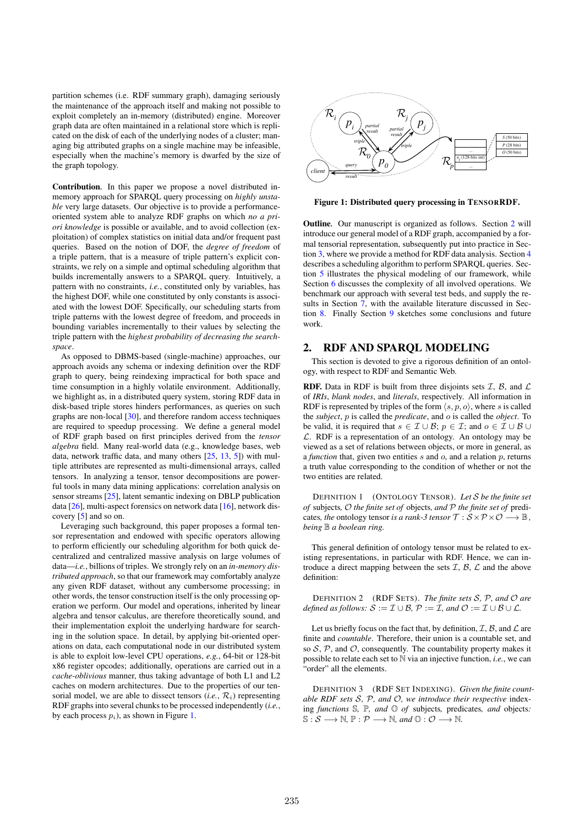partition schemes (i.e. RDF summary graph), damaging seriously the maintenance of the approach itself and making not possible to exploit completely an in-memory (distributed) engine. Moreover graph data are often maintained in a relational store which is replicated on the disk of each of the underlying nodes of a cluster; managing big attributed graphs on a single machine may be infeasible, especially when the machine's memory is dwarfed by the size of the graph topology.

Contribution*.* In this paper we propose a novel distributed inmemory approach for SPARQL query processing on *highly unstable* very large datasets. Our objective is to provide a performanceoriented system able to analyze RDF graphs on which *no a priori knowledge* is possible or available, and to avoid collection (exploitation) of complex statistics on initial data and/or frequent past queries. Based on the notion of DOF, the *degree of freedom* of a triple pattern, that is a measure of triple pattern's explicit constraints, we rely on a simple and optimal scheduling algorithm that builds incrementally answers to a SPARQL query. Intuitively, a pattern with no constraints, *i.e.*, constituted only by variables, has the highest DOF, while one constituted by only constants is associated with the lowest DOF. Specifically, our scheduling starts from triple patterns with the lowest degree of freedom, and proceeds in bounding variables incrementally to their values by selecting the triple pattern with the *highest probability of decreasing the searchspace*.

As opposed to DBMS-based (single-machine) approaches, our approach avoids any schema or indexing definition over the RDF graph to query, being reindexing impractical for both space and time consumption in a highly volatile environment. Additionally, we highlight as, in a distributed query system, storing RDF data in disk-based triple stores hinders performances, as queries on such graphs are non-local [30], and therefore random access techniques are required to speedup processing. We define a general model of RDF graph based on first principles derived from the *tensor algebra* field. Many real-world data (e.g., knowledge bases, web data, network traffic data, and many others [25, 13, 5]) with multiple attributes are represented as multi-dimensional arrays, called tensors. In analyzing a tensor, tensor decompositions are powerful tools in many data mining applications: correlation analysis on sensor streams [25], latent semantic indexing on DBLP publication data [26], multi-aspect forensics on network data [16], network discovery [5] and so on.

Leveraging such background, this paper proposes a formal tensor representation and endowed with specific operators allowing to perform efficiently our scheduling algorithm for both quick decentralized and centralized massive analysis on large volumes of data—*i.e.*, billions of triples. We strongly rely on an *in-memory distributed approach*, so that our framework may comfortably analyze any given RDF dataset, without any cumbersome processing; in other words, the tensor construction itself is the only processing operation we perform. Our model and operations, inherited by linear algebra and tensor calculus, are therefore theoretically sound, and their implementation exploit the underlying hardware for searching in the solution space. In detail, by applying bit-oriented operations on data, each computational node in our distributed system is able to exploit low-level CPU operations, *e.g.*, 64-bit or 128-bit x86 register opcodes; additionally, operations are carried out in a *cache-oblivious* manner, thus taking advantage of both L1 and L2 caches on modern architectures. Due to the properties of our tensorial model, we are able to dissect tensors  $(i.e., R_i)$  representing RDF graphs into several chunks to be processed independently (*i.e.*, by each process  $p_i$ ), as shown in Figure 1.



Figure 1: Distributed query processing in TENSORRDF.

Outline*.* Our manuscript is organized as follows. Section 2 will introduce our general model of a RDF graph, accompanied by a formal tensorial representation, subsequently put into practice in Section 3, where we provide a method for RDF data analysis. Section 4 describes a scheduling algorithm to perform SPARQL queries. Section 5 illustrates the physical modeling of our framework, while Section 6 discusses the complexity of all involved operations. We benchmark our approach with several test beds, and supply the results in Section 7, with the available literature discussed in Section 8. Finally Section 9 sketches some conclusions and future work.

## 2. RDF AND SPARQL MODELING

This section is devoted to give a rigorous definition of an ontology, with respect to RDF and Semantic Web.

**RDF.** Data in RDF is built from three disjoints sets  $I$ ,  $B$ , and  $L$ of *IRIs*, *blank nodes*, and *literals*, respectively. All information in RDF is represented by triples of the form  $\langle s, p, o \rangle$ , where s is called the *subject*, p is called the *predicate*, and o is called the *object*. To be valid, it is required that  $s \in \mathcal{I} \cup \mathcal{B}$ ;  $p \in \mathcal{I}$ ; and  $o \in \mathcal{I} \cup \mathcal{B} \cup \mathcal{B}$  $\mathcal{L}$ . RDF is a representation of an ontology. An ontology may be viewed as a set of relations between objects, or more in general, as a *function* that, given two entities  $s$  and  $o$ , and a relation  $p$ , returns a truth value corresponding to the condition of whether or not the two entities are related.

DEFINITION 1 (ONTOLOGY TENSOR). *Let* S *be the finite set of* subjects*,* O *the finite set of* objects*, and* P *the finite set of* predicates, the ontology tensor is a rank-3 tensor  $\mathcal{T}: \mathcal{S} \times \mathcal{P} \times \mathcal{O} \longrightarrow \mathbb{B}$ , *being* B *a boolean ring.*

This general definition of ontology tensor must be related to existing representations, in particular with RDF. Hence, we can introduce a direct mapping between the sets  $\mathcal{I}, \mathcal{B}, \mathcal{L}$  and the above definition:

DEFINITION 2 (RDF SETS). *The finite sets* S*,* P*, and* O *are defined as follows:*  $S := \mathcal{I} \cup \mathcal{B}$ ,  $\mathcal{P} := \mathcal{I}$ , and  $\mathcal{O} := \mathcal{I} \cup \mathcal{B} \cup \mathcal{L}$ .

Let us briefly focus on the fact that, by definition,  $\mathcal{I}, \mathcal{B}$ , and  $\mathcal{L}$  are finite and *countable*. Therefore, their union is a countable set, and so  $S$ ,  $P$ , and  $O$ , consequently. The countability property makes it possible to relate each set to N via an injective function, *i.e.*, we can "order" all the elements.

DEFINITION 3 (RDF SET INDEXING). *Given the finite countable RDF sets* S*,* P*, and* O*, we introduce their respective* indexing *functions* S*,* P*, and* O *of* subjects*,* predicates*, and* objects*:*  $\mathbb{S}: \mathcal{S} \longrightarrow \mathbb{N}, \mathbb{P}: \mathcal{P} \longrightarrow \mathbb{N}, \text{ and } \mathbb{O}: \mathcal{O} \longrightarrow \mathbb{N}.$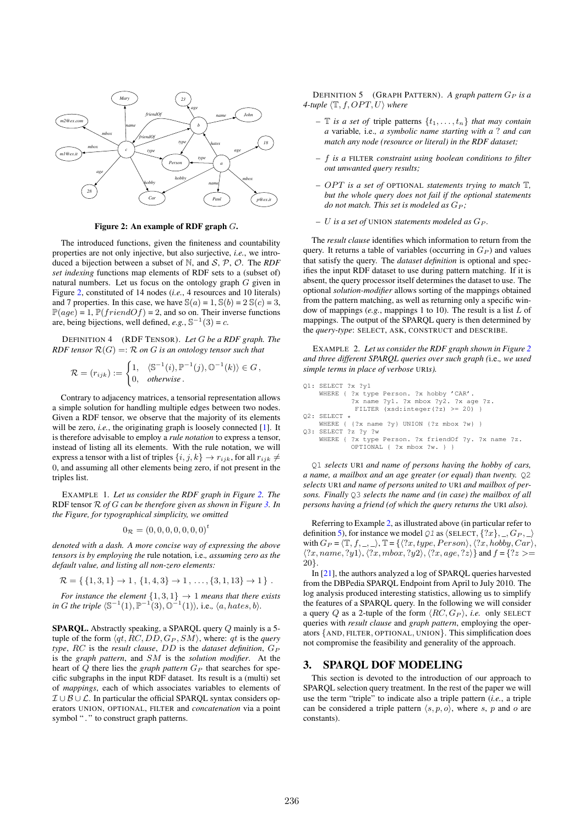

Figure 2: An example of RDF graph G.

The introduced functions, given the finiteness and countability properties are not only injective, but also surjective, *i.e.*, we introduced a bijection between a subset of N, and S, P, O. The *RDF set indexing* functions map elements of RDF sets to a (subset of) natural numbers. Let us focus on the ontology graph G given in Figure 2, constituted of 14 nodes (*i.e.*, 4 resources and 10 literals) and 7 properties. In this case, we have  $\mathcal{S}(a) = 1$ ,  $\mathcal{S}(b) = 2 \mathcal{S}(c) = 3$ ,  $\mathbb{P}(age) = 1, \mathbb{P}(friendOf) = 2$ , and so on. Their inverse functions are, being bijections, well defined,  $e.g., \mathbb{S}^{-1}(3) = c$ .

DEFINITION 4 (RDF TENSOR). *Let* G *be a RDF graph. The RDF tensor*  $\mathcal{R}(G) = \mathcal{R}$  *on G is an ontology tensor such that* 

$$
\mathcal{R} = (r_{ijk}) := \begin{cases} 1, & \langle \mathbb{S}^{-1}(i), \mathbb{P}^{-1}(j), \mathbb{O}^{-1}(k) \rangle \in G, \\ 0, & \text{otherwise.} \end{cases}
$$

Contrary to adjacency matrices, a tensorial representation allows a simple solution for handling multiple edges between two nodes. Given a RDF tensor, we observe that the majority of its elements will be zero, *i.e.*, the originating graph is loosely connected [1]. It is therefore advisable to employ a *rule notation* to express a tensor, instead of listing all its elements. With the rule notation, we will express a tensor with a list of triples  $\{i, j, k\} \rightarrow r_{ijk}$ , for all  $r_{ijk} \neq$ 0, and assuming all other elements being zero, if not present in the triples list.

EXAMPLE 1. *Let us consider the RDF graph in Figure 2. The* RDF tensor R *of* G *can be therefore given as shown in Figure 3. In the Figure, for typographical simplicity, we omitted*

$$
0_{\mathcal{R}} = (0,0,0,0,0,0,0)^t
$$

*denoted with a dash. A more concise way of expressing the above tensors is by employing the* rule notation*,* i.e.*, assuming zero as the default value, and listing all non-zero elements:*

$$
\mathcal{R} = \{ \{1,3,1\} \to 1, \{1,4,3\} \to 1, \ldots, \{3,1,13\} \to 1 \}.
$$

*For instance the element*  $\{1, 3, 1\} \rightarrow 1$  *means that there exists*  $\phi$  *in G the triple*  $\langle \mathbb{S}^{-1}(1), \mathbb{P}^{-1}(3), \mathbb{O}^{-1}(1) \rangle$ , i.e.,  $\langle a, hates, b \rangle$ .

SPARQL. Abstractly speaking, a SPARQL query Q mainly is a 5tuple of the form  $\langle qt, RC, DD, G_P, SM \rangle$ , where: qt is the *query type*, *RC* is the *result clause*, *DD* is the *dataset definition*,  $G_P$ is the *graph pattern*, and SM is the *solution modifier*. At the heart of  $Q$  there lies the *graph pattern*  $G_P$  that searches for specific subgraphs in the input RDF dataset. Its result is a (multi) set of *mappings*, each of which associates variables to elements of  $\mathcal{I} \cup \mathcal{B} \cup \mathcal{L}$ . In particular the official SPARQL syntax considers operators UNION, OPTIONAL, FILTER and *concatenation* via a point symbol "." to construct graph patterns.

DEFINITION 5 (GRAPH PATTERN). A graph pattern  $G_P$  is a *4-tuple*  $\langle \mathbb{T}, f, OPT, U \rangle$  *where* 

- *–*  $\mathbb T$  *is a set of triple patterns*  $\{t_1, \ldots, t_n\}$  *that may contain a* variable*,* i.e.*, a symbolic name starting with a* ? *and can match any node (resource or literal) in the RDF dataset;*
- *–* f *is a* FILTER *constraint using boolean conditions to filter out unwanted query results;*
- *–* OPT is a set of OPTIONAL statements trying to match  $\mathbb{T}$ , *but the whole query does not fail if the optional statements do not match. This set is modeled as*  $G_P$ ;
- *–* U *is a set of* UNION *statements modeled as* G<sup>P</sup> *.*

The *result clause* identifies which information to return from the query. It returns a table of variables (occurring in  $G_P$ ) and values that satisfy the query. The *dataset definition* is optional and specifies the input RDF dataset to use during pattern matching. If it is absent, the query processor itself determines the dataset to use. The optional *solution-modifier* allows sorting of the mappings obtained from the pattern matching, as well as returning only a specific window of mappings (*e.g.*, mappings 1 to 10). The result is a list L of mappings. The output of the SPARQL query is then determined by the *query-type*: SELECT, ASK, CONSTRUCT and DESCRIBE.

EXAMPLE 2. *Let us consider the RDF graph shown in Figure 2 and three different SPARQL queries over such graph (*i.e.*, we used simple terms in place of verbose* URI*s).*

```
Q1: SELECT ?x ?y1
    WHERE { ?x type Person. ?x hobby 'CAR'.
            ?x name ?y1. ?x mbox ?y2. ?x age ?z.
             FILTER (xsd:integer(?z) >= 20) }
O2: SELECT *
    WHERE { \{?x \text{ name }?y\} UNION \{?z \text{ mbox }?w\} }
Q3: SELECT ?z ?y ?w
    WHERE { ?x type Person. ?x friendOf ?y. ?x name ?z.
            OPTIONAL { ?x mbox ?w. } }
```
Q1 *selects* URI *and name of persons having the hobby of cars, a name, a mailbox and an age greater (or equal) than twenty.* Q2 *selects* URI *and name of persons united to* URI *and mailbox of persons. Finally* Q3 *selects the name and (in case) the mailbox of all persons having a friend (of which the query returns the* URI *also).*

Referring to Example 2, as illustrated above (in particular refer to definition 5), for instance we model  $Q_1$  as  $\langle$  SELECT,  $\{?x\}, \_, G_P, \_\rangle$ with  $G_P = \langle \mathbb{T}, f, \_, \_\rangle$ ,  $\mathbb{T} = \{ \langle ?x, type, Person \rangle, \langle ?x, hobby, Car \rangle,$  $\langle ?x, name, ?y1 \rangle, \langle ?x, mbox, ?y2 \rangle, \langle ?x, age, ?z \rangle$  and  $f = \{?z \rangle =$ 20}.

In [21], the authors analyzed a log of SPARQL queries harvested from the DBPedia SPARQL Endpoint from April to July 2010. The log analysis produced interesting statistics, allowing us to simplify the features of a SPARQL query. In the following we will consider a query Q as a 2-tuple of the form  $\langle RC, G_P \rangle$ , *i.e.* only SELECT queries with *result clause* and *graph pattern*, employing the operators {AND, FILTER, OPTIONAL, UNION}. This simplification does not compromise the feasibility and generality of the approach.

#### 3. SPARQL DOF MODELING

This section is devoted to the introduction of our approach to SPARQL selection query treatment. In the rest of the paper we will use the term "triple" to indicate also a triple pattern (*i.e.*, a triple can be considered a triple pattern  $\langle s, p, o \rangle$ , where s, p and o are constants).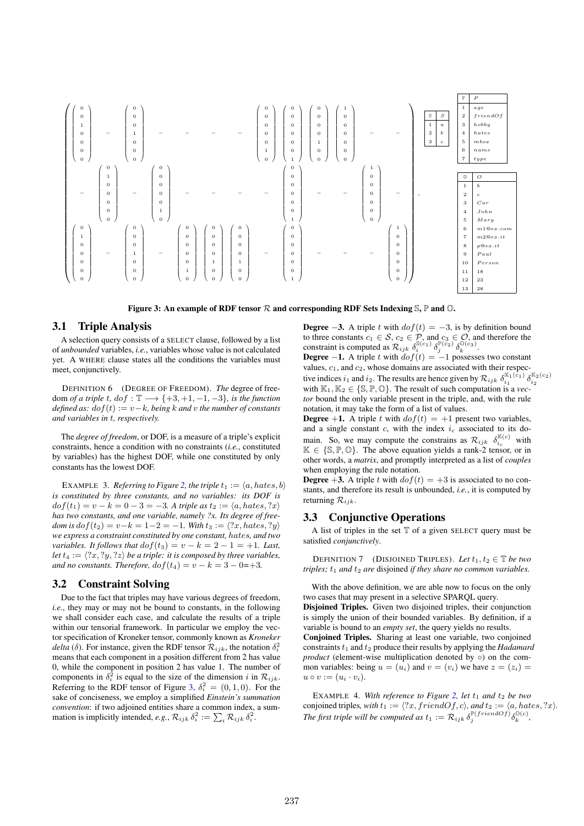

Figure 3: An example of RDF tensor  $R$  and corresponding RDF Sets Indexing  $\mathcal{S}, \mathbb{P}$  and  $\mathcal{O}$ .

#### 3.1 Triple Analysis

A selection query consists of a SELECT clause, followed by a list of *unbounded* variables, *i.e.*, variables whose value is not calculated yet. A WHERE clause states all the conditions the variables must meet, conjunctively.

DEFINITION 6 (DEGREE OF FREEDOM). *The* degree of freedom *of a triple* t*,*  $dof : \mathbb{T} \longrightarrow \{+3, +1, -1, -3\}$ *, is the function defined as:*  $dof(t) := v - k$ *, being*  $k$  *and*  $v$  *the number of constants and variables in* t*, respectively.*

The *degree of freedom*, or DOF, is a measure of a triple's explicit constraints, hence a condition with no constraints (*i.e.*, constituted by variables) has the highest DOF, while one constituted by only constants has the lowest DOF.

EXAMPLE 3. *Referring to Figure 2, the triple*  $t_1 := \langle a, hates, b \rangle$ *is constituted by three constants, and no variables: its DOF is*  $dof(t_1) = v - k = 0 - 3 = -3$ . A triple as  $t_2 := \langle a, hates, ?x \rangle$ *has two constants, and one variable, namely ?x. Its degree of freedom is*  $dof(t_2) = v-k = 1-2 = -1$ *. With*  $t_3 := \langle ?x, hates, ?y \rangle$ *we express a constraint constituted by one constant,* hates*, and two variables. It follows that*  $dof(t_3) = v - k = 2 - 1 = +1$ *. Last, let*  $t_4 := \langle ?x, ?y, ?z \rangle$  *be a triple: it is composed by three variables, and no constants. Therefore,*  $dof(t_4) = v - k = 3 - 0 = +3$ .

### 3.2 Constraint Solving

Due to the fact that triples may have various degrees of freedom, *i.e.*, they may or may not be bound to constants, in the following we shall consider each case, and calculate the results of a triple within our tensorial framework. In particular we employ the vector specification of Kroneker tensor, commonly known as *Kroneker delta* ( $\delta$ ). For instance, given the RDF tensor  $\mathcal{R}_{ijk}$ , the notation  $\delta_i^2$ means that each component in a position different from 2 has value 0, while the component in position 2 has value 1. The number of components in  $\delta_i^2$  is equal to the size of the dimension i in  $\mathcal{R}_{ijk}$ . Referring to the RDF tensor of Figure 3,  $\delta_i^2 = (0, 1, 0)$ . For the sake of conciseness, we employ a simplified *Einstein's summation convention*: if two adjoined entities share a common index, a summation is implicitly intended, *e.g.*,  $\mathcal{R}_{ijk} \delta_i^2 := \sum_i \mathcal{R}_{ijk} \delta_i^2$ .

**Degree**  $-3$ . A triple t with  $dof(t) = -3$ , is by definition bound to three constants  $c_1 \in S$ ,  $c_2 \in P$ , and  $c_3 \in \mathcal{O}$ , and therefore the constraint is computed as  $\mathcal{R}_{ijk} \delta_i^{\mathbb{S}(c_1)} \delta_j^{\mathbb{P}(c_2)} \delta_k^{\mathbb{O}(c_3)}$ .

**Degree**  $-1$ . A triple t with  $dof(t) = -1$  possesses two constant values,  $c_1$ , and  $c_2$ , whose domains are associated with their respective indices  $i_1$  and  $i_2$ . The results are hence given by  $\mathcal{R}_{ijk} \delta_{i_1}^{\mathbb{K}_1(c_1)} \delta_{i_2}^{\mathbb{K}_2(c_2)}$ with  $\mathbb{K}_1, \mathbb{K}_2 \in \{ \mathbb{S}, \mathbb{P}, \mathbb{O} \}$ . The result of such computation is a *vector* bound the only variable present in the triple, and, with the rule notation, it may take the form of a list of values.

**Degree** +1. A triple t with  $dof(t) = +1$  present two variables, and a single constant  $c$ , with the index  $i_c$  associated to its domain. So, we may compute the constrains as  $\mathcal{R}_{ijk}$   $\delta_{i_c}^{\mathbb{K}(c)}$  with  $K \in \{S, P, O\}$ . The above equation yields a rank-2 tensor, or in other words, a *matrix*, and promptly interpreted as a list of *couples* when employing the rule notation.

**Degree** +3. A triple t with  $dof(t) = +3$  is associated to no constants, and therefore its result is unbounded, *i.e.*, it is computed by returning  $\mathcal{R}_{ijk}$ .

#### 3.3 Conjunctive Operations

A list of triples in the set  $T$  of a given SELECT query must be satisfied *conjunctively*.

DEFINITION 7 (DISJOINED TRIPLES). Let  $t_1, t_2 \in \mathbb{T}$  be two *triples;*  $t_1$  *and*  $t_2$  *are* disjoined *if they share no common variables.* 

With the above definition, we are able now to focus on the only two cases that may present in a selective SPARQL query. Disjoined Triples. Given two disjoined triples, their conjunction is simply the union of their bounded variables. By definition, if a variable is bound to an *empty set*, the query yields no results. Conjoined Triples. Sharing at least one variable, two conjoined constraints  $t_1$  and  $t_2$  produce their results by applying the *Hadamard product* (element-wise multiplication denoted by ○) on the common variables: being  $u = (u_i)$  and  $v = (v_i)$  we have  $z = (z_i)$  $u \circ v := (u_i \cdot v_i).$ 

EXAMPLE 4. With reference to Figure 2, let  $t_1$  and  $t_2$  be two conjoined triples, with  $t_1 := \langle ?x, friendOf, c \rangle$ , and  $t_2 := \langle a, hates, ?x \rangle$ . *The first triple will be computed as*  $t_1 := \mathcal{R}_{ijk} \delta_j^{\mathbb{P}(friendOf)} \delta_k^{\mathbb{O}(c)}$ ,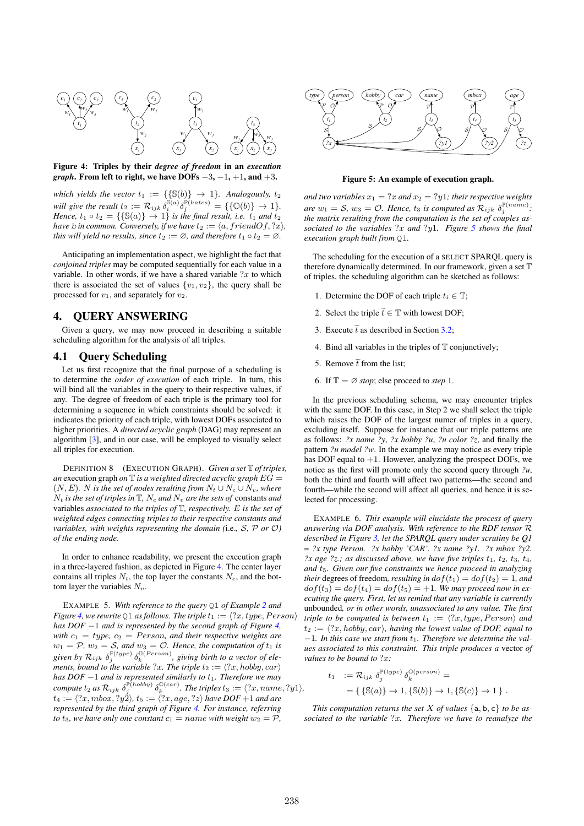

Figure 4: Triples by their *degree of freedom* in an *execution graph*. From left to right, we have DOFs  $-3$ ,  $-1$ ,  $+1$ , and  $+3$ .

*which yields the vector*  $t_1 := {\{\mathbb{S}(b)\}\rightarrow 1\}$ *. Analogously,*  $t_2$ will give the result  $t_2 := \mathcal{R}_{ijk} \, \delta_i^{\mathbb{S}(a)} \delta_j^{\mathbb{P}(hates)} = \{ \{\mathbb{O}(b)\} \to 1 \}.$ *Hence,*  $t_1 \circ t_2 = {\{\mathbb{S}(a)\}\rightarrow 1}$  *is the final result, i.e.*  $t_1$  *and*  $t_2$ *have b in common. Conversely, if we have*  $t_2 := \langle a, friendOf, ?x \rangle$ *, this will yield no results, since*  $t_2 := \emptyset$ *, and therefore*  $t_1 \circ t_2 = \emptyset$ *.* 

Anticipating an implementation aspect, we highlight the fact that *conjoined triples* may be computed sequentially for each value in a variable. In other words, if we have a shared variable  $?x$  to which there is associated the set of values  $\{v_1, v_2\}$ , the query shall be processed for  $v_1$ , and separately for  $v_2$ .

## 4. QUERY ANSWERING

Given a query, we may now proceed in describing a suitable scheduling algorithm for the analysis of all triples.

#### 4.1 Query Scheduling

Let us first recognize that the final purpose of a scheduling is to determine the *order of execution* of each triple. In turn, this will bind all the variables in the query to their respective values, if any. The degree of freedom of each triple is the primary tool for determining a sequence in which constraints should be solved: it indicates the priority of each triple, with lowest DOFs associated to higher priorities. A *directed acyclic graph* (DAG) may represent an algorithm [3], and in our case, will be employed to visually select all triples for execution.

DEFINITION 8 (EXECUTION GRAPH). *Given a set* T *of triples, an* execution graph *on*  $\mathbb{T}$  *is a weighted directed acyclic graph*  $EG =$  $(N, E)$ *. N is the set of nodes resulting from*  $N_t \cup N_c \cup N_v$ *, where*  $N_t$  *is the set of triples in*  $\mathbb{T}$ *,*  $N_c$  *and*  $N_v$  *are the sets of* constants *and* variables *associated to the triples of* T*, respectively.* E *is the set of weighted edges connecting triples to their respective constants and variables, with weights representing the domain (*i.e.*,* S*,* P *or* O*) of the ending node.*

In order to enhance readability, we present the execution graph in a three-layered fashion, as depicted in Figure 4. The center layer contains all triples  $N_t$ , the top layer the constants  $N_c$ , and the bottom layer the variables  $N_v$ .

EXAMPLE 5. *With reference to the query* Q1 *of Example 2 and Figure* 4, we rewrite Q1 *as follows. The triple*  $t_1 := \langle ?x, type, Person \rangle$ *has DOF* −1 *and is represented by the second graph of Figure 4, with*  $c_1 = type$ ,  $c_2 = Person$ , and their respective weights are  $w_1 = \mathcal{P}, w_2 = \mathcal{S},$  and  $w_3 = \mathcal{O}$ . Hence, the computation of  $t_1$  is given by  $\mathcal{R}_{ijk}$   $\delta_j^{\mathbb{P}(type)}$   $\delta_k^{\mathbb{Q}(Person)}$ , giving birth to a vector of ele*ments, bound to the variable* ?x. The triple  $t_2 := \langle ?x, hoby, car \rangle$ *has DOF* −1 *and is represented similarly to*  $t_1$ *. Therefore we may*  $\emph{compute}\ t_2$  as  $\mathcal{R}_{ijk}$   $\delta^{\mathbb{P}(hobby)}_{j}$   $\delta^{\mathbb{O}(car)}_{k}$ . The triples  $t_3 := \langle ?x, name, ?y1 \rangle$ ,  $t_4 := \langle ?x, mbox, ?y2 \rangle$ ,  $t_5 := \langle ?x, age, ?z \rangle$  have  $DOF+1$  and are *represented by the third graph of Figure 4. For instance, referring to*  $t_3$ *, we have only one constant*  $c_1 =$  *name with weight*  $w_2 = P$ *,* 



Figure 5: An example of execution graph.

*and two variables*  $x_1 = ?x$  *and*  $x_2 = ?y1$ *; their respective weights are*  $w_1 = S$ ,  $w_3 = O$ . *Hence*,  $t_3$  *is computed as*  $\mathcal{R}_{ijk}$   $\delta_j^{\mathbb{P}(name)}$ . *the matrix resulting from the computation is the set of couples associated to the variables* ?x *and* ?y1*. Figure 5 shows the final execution graph built from* Q1*.*

The scheduling for the execution of a SELECT SPARQL query is therefore dynamically determined. In our framework, given a set T of triples, the scheduling algorithm can be sketched as follows:

- 1. Determine the DOF of each triple  $t_i \in \mathbb{T}$ ;
- 2. Select the triple  $\widetilde{t} \in \mathbb{T}$  with lowest DOF;
- 3. Execute  $\tilde{t}$  as described in Section 3.2;
- 4. Bind all variables in the triples of  $T$  conjunctively;
- 5. Remove  $\tilde{t}$  from the list;
- 6. If  $\mathbb{T} = \emptyset$  *stop*; else proceed to *step* 1.

In the previous scheduling schema, we may encounter triples with the same DOF. In this case, in Step 2 we shall select the triple which raises the DOF of the largest numer of triples in a query, excluding itself. Suppose for instance that our triple patterns are as follows: *?x name ?y*, *?x hobby ?u*, *?u color ?z*, and finally the pattern *?u model ?w*. In the example we may notice as every triple has DOF equal to  $+1$ . However, analyzing the prospect DOFs, we notice as the first will promote only the second query through *?u*, both the third and fourth will affect two patterns—the second and fourth—while the second will affect all queries, and hence it is selected for processing.

EXAMPLE 6. *This example will elucidate the process of query answering via DOF analysis. With reference to the RDF tensor* R *described in Figure 3, let the SPARQL query under scrutiny be Q1*  $=$  *?x type Person. ?x hobby 'CAR'. ?x name ?y1. ?x mbox ?y2. ?x age ?z.; as discussed above, we have five triples*  $t_1$ ,  $t_2$ ,  $t_3$ ,  $t_4$ , *and* t5*. Given our five constraints we hence proceed in analyzing their* degrees of freedom, *resulting in*  $dof(t_1) = dof(t_2) = 1$ *, and*  $dof(t_3) = dof(t_4) = dof(t_5) = +1$ . We may proceed now in ex*ecuting the query. First, let us remind that any variable is currently* unbounded*, or in other words, unassociated to any value. The first triple to be computed is between*  $t_1 := \langle ?x, type, Person \rangle$  *and*  $t_2 := \langle ?x, hobby, car \rangle$ , having the lowest value of DOF, equal to −1*. In this case we start from* t1*. Therefore we determine the values associated to this constraint. This triple produces a* vector *of values to be bound to* ?x*:*

$$
t_1 := \mathcal{R}_{ijk} \delta_j^{\mathbb{P}(type)} \delta_k^{\mathbb{Q}(person)} =
$$
  
= {  $\{ \mathbb{S}(a) \} \rightarrow 1, \{ \mathbb{S}(b) \} \rightarrow 1, \{ \mathbb{S}(c) \} \rightarrow 1 \}$ .

*This computation returns the set*  $X$  *of values*  $\{a, b, c\}$  *to be associated to the variable* ?x*. Therefore we have to reanalyze the*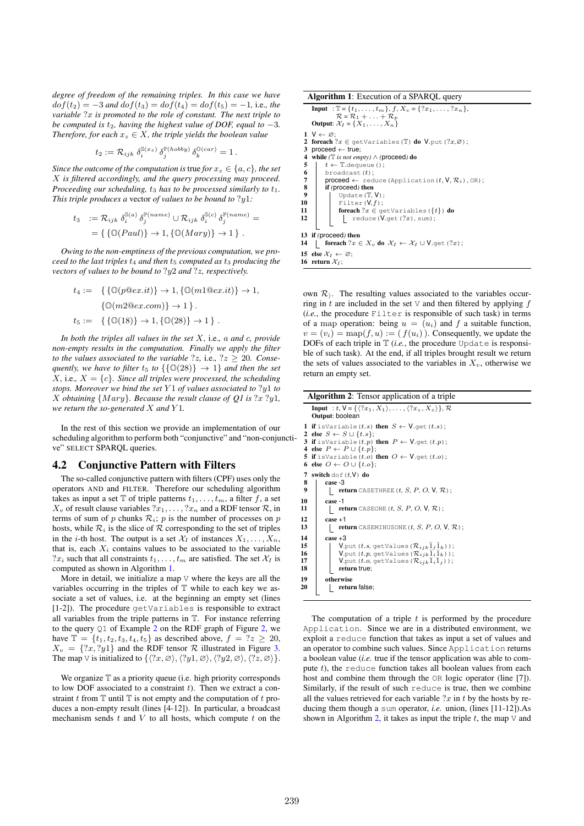*degree of freedom of the remaining triples. In this case we have*  $dof(t_2) = -3$  *and*  $dof(t_3) = dof(t_4) = dof(t_5) = -1$ , i.e., the *variable* ?x *is promoted to the role of constant. The next triple to be computed is*  $t_2$ *, having the highest value of DOF, equal to*  $-3$ *. Therefore, for each*  $x_z \in X$ *, the triple yields the boolean value* 

$$
t_2:=\mathcal{R}_{ijk}~\delta^{\mathbb{S}(x_z)}_i~\delta^{\mathbb{P}(hobby)}_j~\delta^{\mathbb{O}(car)}_k=1\,.
$$

*Since the outcome of the computation is true for*  $x_z \in \{a, c\}$ *, the set* X *is filtered accordingly, and the query processing may proceed. Proceeding our scheduling,*  $t_3$  *has to be processed similarly to*  $t_1$ *. This triple produces a* vector *of values to be bound to* ?y1*:*

$$
t_3 \quad := \mathcal{R}_{ijk} \; \delta_i^{\mathbb{S}(a)} \; \delta_j^{\mathbb{P}(name)} \cup \mathcal{R}_{ijk} \; \delta_i^{\mathbb{S}(c)} \; \delta_j^{\mathbb{P}(name)} =
$$
\n
$$
= \{ \{ \mathbb{O}(Paul) \} \to 1, \{ \mathbb{O}(Mary) \} \to 1 \} \; .
$$

*Owing to the non-emptiness of the previous computation, we proceed to the last triples*  $t_4$  *and then*  $t_5$  *computed as*  $t_3$  *producing the vectors of values to be bound to* ?y2 *and* ?z*, respectively.*

$$
t_4 := \{ \{ \mathbb{O}(p@ex.it) \} \to 1, \{ \mathbb{O}(m1@ex.it) \} \to 1, \\ \{ \mathbb{O}(m2@ex.com) \} \to 1 \}.
$$
  

$$
t_5 := \{ \{ \mathbb{O}(18) \} \to 1, \{ \mathbb{O}(28) \} \to 1 \}.
$$

*In both the triples all values in the set* X*,* i.e.*,* a *and* c*, provide non-empty results in the computation. Finally we apply the filter to the values associated to the variable*  $?z$ , *i.e.*,  $?z \geq 20$ *. Consequently, we have to filter*  $t_5$  *to*  $\{\{\mathbb{O}(28)\}\rightarrow 1\}$  *and then the set*  $X$ , i.e.,  $X = \{c\}$ *. Since all triples were processed, the scheduling stops. Moreover we bind the set* Y 1 *of values associated to* ?y1 *to* X *obtaining* {M ary}*. Because the result clause of Q1 is* ?x ?y1*, we return the so-generated* X *and* Y 1*.*

In the rest of this section we provide an implementation of our scheduling algorithm to perform both "conjunctive" and "non-conjunctive" SELECT SPARQL queries.

#### 4.2 Conjunctive Pattern with Filters

The so-called conjunctive pattern with filters (CPF) uses only the operators AND and FILTER. Therefore our scheduling algorithm takes as input a set  $\mathbb T$  of triple patterns  $t_1, \ldots, t_m$ , a filter f, a set  $X_v$  of result clause variables  $?x_1, \ldots, ?x_n$  and a RDF tensor  $\mathcal{R}$ , in terms of sum of p chunks  $\mathcal{R}_i$ ; p is the number of processes on p hosts, while  $\mathcal{R}_i$  is the slice of  $\mathcal R$  corresponding to the set of triples in the *i*-th host. The output is a set  $\mathcal{X}_I$  of instances  $X_1, \ldots, X_n$ , that is, each  $X_i$  contains values to be associated to the variable  $?x_i$  such that all constraints  $t_1, \ldots, t_m$  are satisfied. The set  $\mathcal{X}_I$  is computed as shown in Algorithm 1.

More in detail, we initialize a map  $\nabla$  where the keys are all the variables occurring in the triples of  $T$  while to each key we associate a set of values, i.e. at the beginning an empty set (lines [1-2]). The procedure getVariables is responsible to extract all variables from the triple patterns in T. For instance referring to the query Q1 of Example 2 on the RDF graph of Figure 2, we have  $\mathbb{T} = \{t_1, t_2, t_3, t_4, t_5\}$  as described above,  $f = ?z \geq 20$ ,  $X_v = \{?x, ?y1\}$  and the RDF tensor R illustrated in Figure 3. The map V is initialized to  $\{\langle ?x, \emptyset \rangle, \langle ?y1, \emptyset \rangle, \langle ?y2, \emptyset \rangle, \langle ?z, \emptyset \rangle\}.$ 

We organize  $T$  as a priority queue (i.e. high priority corresponds to low DOF associated to a constraint  $t$ ). Then we extract a constraint t from  $\mathbb T$  until  $\mathbb T$  is not empty and the computation of t produces a non-empty result (lines [4-12]). In particular, a broadcast mechanism sends  $t$  and  $V$  to all hosts, which compute  $t$  on the

| <b>Algorithm 1:</b> Execution of a SPARQL query |  |  |  |
|-------------------------------------------------|--|--|--|
|-------------------------------------------------|--|--|--|

```
Input : T = \{t_1, ..., t_m\}, f, X_v = \{?x_1, ..., ?x_n\},<br>
R = R_1 + ... + R_p<br>
Output: X_I = \{X_1, ..., X_n\}1 \quad V \leftarrow \varnothing;<br>2 foreach
  2 foreach ?x \in getVariables(T) do V.put(?x, \varnothing);<br>3 proceed \angle true:
  3 proceed \leftarrow true;<br>4 while (T is not emp
  4 while (\mathbb{T} is not empty) ∧ (proceed) do<br>5 \mid t ← \mathbb{T}.dequeue ();
  5 t \leftarrow \text{Tidequeue}();<br>6 broadcast (t);
                broadcast(t);
  7 proceed \leftarrow reduce (Application (t, V, \mathcal{R}_i), OR);<br>8 if (proceed) then
 \begin{array}{c|c} 8 & \text{if (proceed) then} \\ 9 & \text{Indate (T)} \end{array}\begin{array}{c|c} 9 & \text{Update}(\mathbb{T}, \mathsf{V}); \\ \hline \text{Filter}(\mathsf{V}, f). \end{array}10 Filter(V,f);<br>11 foreach ?x \in \alpha11 \parallel foreach ?x \in getVariables(\{t\}) do \parallel reduce(V.get(?x), sum);
13 if (proceed) then
14 foreach ?x \in X_v do \mathcal{X}_I \leftarrow \mathcal{X}_I \cup \mathsf{V}.get(?x);
15 else X_I \leftarrow \emptyset;
16 return \mathcal{X}_I;
```
own  $\mathcal{R}_1$ . The resulting values associated to the variables occurring in t are included in the set V and then filtered by applying  $f$  $(i.e., the procedure **Filter** is responsible of such task) in terms$ of a map operation: being  $u = (u_i)$  and f a suitable function,  $v = (v_i) = \text{map}(f, u) := (f(u_i))$ . Consequently, we update the DOFs of each triple in  $\mathbb T$  (*i.e.*, the procedure Update is responsible of such task). At the end, if all triples brought result we return the sets of values associated to the variables in  $X_v$ , otherwise we return an empty set.

|    | <b>Algorithm 2:</b> Tensor application of a triple                                                                                                                            |  |  |  |
|----|-------------------------------------------------------------------------------------------------------------------------------------------------------------------------------|--|--|--|
|    | <b>Input</b> : t, $V = \{ \langle 2x_1, X_1 \rangle, \ldots, \langle 2x_n, X_n \rangle \}, \mathcal{R}$<br>Output: boolean                                                    |  |  |  |
|    | 1 if isVariable $(t.s)$ then $S \leftarrow V$ get $(t.s)$ ;<br>2 else $S \leftarrow S \cup \{t.s\};$<br><b>3 if</b> is Variable $(t, p)$ then $P \leftarrow V$ get $(t, p)$ ; |  |  |  |
|    | 4 else $P \leftarrow P \cup \{t,p\}$ ;<br>5 if isVariable $(t.o)$ then $O \leftarrow V$ .get $(t.o)$ ;<br>6 else $O \leftarrow O \cup \{t.o\};$                               |  |  |  |
| 7  | switch dof $(t, V)$ do                                                                                                                                                        |  |  |  |
| 8  | case -3                                                                                                                                                                       |  |  |  |
| 9  | <b>return</b> CASETHREE $(t, S, P, O, V, \mathcal{R})$ ;                                                                                                                      |  |  |  |
| 10 | case -1                                                                                                                                                                       |  |  |  |
| 11 | <b>return</b> CASEONE $(t, S, P, O, V, \mathcal{R})$ ;                                                                                                                        |  |  |  |
| 12 | $case +1$                                                                                                                                                                     |  |  |  |
| 13 | <b>return</b> CASEMINUSONE $(t, S, P, O, V, \mathcal{R})$ ;                                                                                                                   |  |  |  |
| 14 | $case +3$                                                                                                                                                                     |  |  |  |
| 15 | V.put $(t.s.$ getValues $(\mathcal{R}_{ijk}1_i1_k)$ ;                                                                                                                         |  |  |  |
| 16 | V.put $(t.p, \text{getValues} (\mathcal{R}_{ijk} 1_i 1_k))$ ;                                                                                                                 |  |  |  |
| 17 | V.put $(t.o.$ getValues $(\mathcal{R}_{ijk}1_i1_j)$ ;                                                                                                                         |  |  |  |
| 18 | return true;                                                                                                                                                                  |  |  |  |
| 19 | otherwise                                                                                                                                                                     |  |  |  |
| 20 | return false;                                                                                                                                                                 |  |  |  |

The computation of a triple  $t$  is performed by the procedure Application. Since we are in a distributed environment, we exploit a reduce function that takes as input a set of values and an operator to combine such values. Since Application returns a boolean value (*i.e.* true if the tensor application was able to compute  $t$ ), the reduce function takes all boolean values from each host and combine them through the OR logic operator (line [7]). Similarly, if the result of such reduce is true, then we combine all the values retrieved for each variable  $2x$  in t by the hosts by reducing them though a sum operator, *i.e.* union, (lines [11-12]).As shown in Algorithm 2, it takes as input the triple  $t$ , the map  $\vee$  and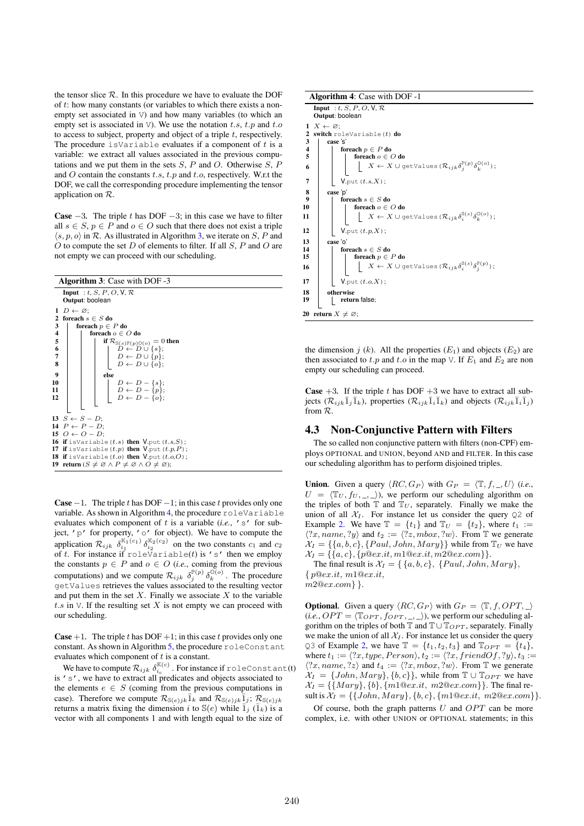the tensor slice  $R$ . In this procedure we have to evaluate the DOF of t: how many constants (or variables to which there exists a nonempty set associated in V) and how many variables (to which an empty set is associated in V). We use the notation t.s, t.p and t.o to access to subject, property and object of a triple  $t$ , respectively. The procedure is Variable evaluates if a component of  $t$  is a variable: we extract all values associated in the previous computations and we put them in the sets  $S$ ,  $P$  and  $O$ . Otherwise  $S$ ,  $P$ and  $O$  contain the constants  $t.s$ ,  $t.p$  and  $t.o$ , respectively. W.r.t the DOF, we call the corresponding procedure implementing the tensor application on R.

**Case**  $-3$ . The triple t has DOF  $-3$ ; in this case we have to filter all  $s \in S$ ,  $p \in P$  and  $o \in O$  such that there does not exist a triple  $\langle s, p, o \rangle$  in R. As illustrated in Algorithm 3, we iterate on S, P and  $O$  to compute the set  $D$  of elements to filter. If all  $S$ ,  $P$  and  $O$  are not empty we can proceed with our scheduling.

|                         | <b>Algorithm 3:</b> Case with DOF -3 |                                                                                                                                          |  |  |
|-------------------------|--------------------------------------|------------------------------------------------------------------------------------------------------------------------------------------|--|--|
|                         | Input : t, S, P, O, V, $\mathcal{R}$ |                                                                                                                                          |  |  |
|                         | Output: boolean                      |                                                                                                                                          |  |  |
|                         |                                      | $1\;\;D\leftarrow\varnothing$ :                                                                                                          |  |  |
| 2                       |                                      | foreach $s \in S$ do                                                                                                                     |  |  |
| 3                       |                                      | foreach $p \in P$ do                                                                                                                     |  |  |
| $\overline{\mathbf{4}}$ |                                      | foreach $o \in O$ do                                                                                                                     |  |  |
| 5                       |                                      | if $\mathcal{R}_{\mathbb{S}(s)\mathbb{P}(p)\mathbb{O}(o)}=0$ then                                                                        |  |  |
| $\boldsymbol{6}$        |                                      |                                                                                                                                          |  |  |
| $\overline{7}$<br>8     |                                      | $\begin{array}{c} \n\tilde{D} \leftarrow \tilde{D} \cup \{s\}; \\ D \leftarrow D \cup \{p\}; \\ D \leftarrow D \cup \{o\};\n\end{array}$ |  |  |
|                         |                                      |                                                                                                                                          |  |  |
| 9                       |                                      | else                                                                                                                                     |  |  |
| 10                      |                                      | $D \leftarrow D - \{s\};$<br>$D \leftarrow D - \{p\};$<br>$D \leftarrow D - \{o\};$                                                      |  |  |
| 11                      |                                      |                                                                                                                                          |  |  |
| 12                      |                                      |                                                                                                                                          |  |  |
|                         |                                      |                                                                                                                                          |  |  |
|                         |                                      | 13 $S \leftarrow S - D$ ;                                                                                                                |  |  |
|                         |                                      | 14 $P \leftarrow P - D$ :                                                                                                                |  |  |
|                         |                                      | 15 $O \leftarrow O - D$ ;                                                                                                                |  |  |
|                         |                                      | <b>16 if</b> isVariable $(t.s)$ then V.put $(t.s,S)$ ;                                                                                   |  |  |
|                         |                                      | 17 if isVariable $(t, p)$ then V.put $(t, p, P)$ ;                                                                                       |  |  |
|                         |                                      | 18 if isVariable $(t.o)$ then $V.$ put $(t.o,O)$ ;                                                                                       |  |  |
|                         |                                      | 19 return ( $S \neq \emptyset \land P \neq \emptyset \land O \neq \emptyset$ );                                                          |  |  |
|                         |                                      |                                                                                                                                          |  |  |

**Case**  $-1$ . The triple t has DOF  $-1$ ; in this case t provides only one variable. As shown in Algorithm 4, the procedure roleVariable evaluates which component of  $t$  is a variable (*i.e.*,  $'s$  for subject, 'p' for property, 'o' for object). We have to compute the application  $\mathcal{R}_{ijk}$   $\delta_{i_1}^{\mathbb{K}_1(c_1)}$   $\delta_{i_2}^{\mathbb{K}_2(c_2)}$  on the two constants  $c_1$  and  $c_2$ of t. For instance if  $\text{roleVariable}(t)$  is 's' then we employ the constants  $p \in P$  and  $o \in O$  (*i.e.*, coming from the previous computations) and we compute  $\mathcal{R}_{ijk}$   $\delta_j^{\mathbb{P}(p)}$   $\delta_k^{\mathbb{O}(o)}$ . The procedure getValues retrieves the values associated to the resulting vector and put them in the set  $X$ . Finally we associate  $X$  to the variable t.s in  $\vee$ . If the resulting set X is not empty we can proceed with our scheduling.

**Case** +1. The triple t has DOF +1; in this case t provides only one constant. As shown in Algorithm 5, the procedure roleConstant evaluates which component of  $t$  is a constant.

We have to compute  $\mathcal{R}_{ijk} \delta_{i_c}^{\mathbb{K}(c)}$ . For instance if roleConstant(t) is 's', we have to extract all predicates and objects associated to the elements  $e \in S$  (coming from the previous computations in case). Therefore we compute  $\mathcal{R}_{\mathbb{S}(e)jk}\overline{1}_k$  and  $\mathcal{R}_{\mathbb{S}(e)jk}\overline{1}_j$ ;  $\mathcal{R}_{\mathbb{S}(e)jk}$ returns a matrix fixing the dimension i to  $\mathbb{S}(e)$  while  $\bar{1}_i$  ( $\bar{1}_k$ ) is a vector with all components 1 and with length equal to the size of

#### Algorithm 4: Case with DOF -1

|                                | <b>Input</b> : t, S, P, O, V, R<br>Output: boolean                                                              |  |
|--------------------------------|-----------------------------------------------------------------------------------------------------------------|--|
| 1<br>$\mathbf{2}$              | $X \leftarrow \varnothing$ ;<br><b>switch</b> roleVariable $(t)$ <b>do</b>                                      |  |
| 3<br>4                         | case 's'<br>foreach $p \in P$ do                                                                                |  |
| 5                              | foreach $o \in O$ do                                                                                            |  |
| 6                              | $X \leftarrow X \cup \text{getValues } (\mathcal{R}_{ijk} \delta_i^{\mathbb{P}(p)} \delta_k^{\mathbb{Q}(o)})$ ; |  |
| 7                              | $V$ .put $(t.s,X)$ ;                                                                                            |  |
| 8                              | case 'p'                                                                                                        |  |
| $\boldsymbol{9}$               | foreach $s \in S$ do                                                                                            |  |
| 10                             | foreach $o \in O$ do                                                                                            |  |
| 11                             | $X \leftarrow X \cup \text{getValues } (\mathcal{R}_{ijk} \delta_i^{\mathbb{S}(s)} \delta_k^{\mathbb{Q}(o)})$ ; |  |
| 12                             | $V$ .put $(t.p,X)$ ;                                                                                            |  |
| 13                             | case 'o'                                                                                                        |  |
| 14                             | foreach $s \in S$ do                                                                                            |  |
| 15                             | foreach $p \in P$ do                                                                                            |  |
| 16                             | $X \leftarrow X \cup \text{getValues } (\mathcal{R}_{ijk} \delta_i^{\mathbb{S}(s)} \delta_j^{\mathbb{P}(p)})$ ; |  |
| 17                             | $V$ .put $(t.o,X)$ ;                                                                                            |  |
| 18                             | otherwise                                                                                                       |  |
| 19                             | return false;                                                                                                   |  |
| 20 return $X \neq \emptyset$ ; |                                                                                                                 |  |

the dimension  $j(k)$ . All the properties  $(E_1)$  and objects  $(E_2)$  are then associated to t.p and t.o in the map V. If  $E_1$  and  $E_2$  are non empty our scheduling can proceed.

**Case**  $+3$ . If the triple t has DOF  $+3$  we have to extract all subjects  $(\mathcal{R}_{ijk}\overline{1}_j\overline{1}_k)$ , properties  $(\mathcal{R}_{ijk}\overline{1}_i\overline{1}_k)$  and objects  $(\mathcal{R}_{ijk}\overline{1}_i\overline{1}_j)$ from R.

#### 4.3 Non-Conjunctive Pattern with Filters

The so called non conjunctive pattern with filters (non-CPF) employs OPTIONAL and UNION, beyond AND and FILTER. In this case our scheduling algorithm has to perform disjoined triples.

**Union.** Given a query  $\langle RC, G_P \rangle$  with  $G_P = \langle \mathbb{T}, f, \_, U \rangle$  (*i.e.*,  $U = \langle T_U , f_U , \underline{\ } , \rangle$ , we perform our scheduling algorithm on the triples of both  $\mathbb T$  and  $\mathbb T_U$ , separately. Finally we make the union of all  $X_I$ . For instance let us consider the query Q2 of Example 2. We have  $\mathbb{T} = \{t_1\}$  and  $\mathbb{T}_U = \{t_2\}$ , where  $t_1 :=$  $\langle ?x, name, ?y \rangle$  and  $t_2 := \langle ?z, mbox, ?w \rangle$ . From T we generate  $X_I = \{\{a, b, c\}, \{Paul, John, Mary\}\}\$  while from  $\mathbb{T}_U$  we have  $X_I = \{\{a, c\}, \{p@ex.it, m1@ex.it, m2@ex.com\}\}.$ 

The final result is  $\mathcal{X}_I = \{ \{a, b, c\}, \{Paul, John, Mary\},\}$  $\{p@ex.it, m1@ex.it,$ m2@ex.com} }.

**Optional.** Given a query  $\langle RC, G_P \rangle$  with  $G_P = \langle \mathbb{T}, f, OPT, \rangle$  $(i.e., OPT = \langle \mathbb{T}_{OPT}, f_{OPT}, \square \rangle)$ , we perform our scheduling algorithm on the triples of both  $\mathbb{T}$  and  $\mathbb{T} \cup \mathbb{T}_{OPT}$ , separately. Finally we make the union of all  $\mathcal{X}_I$ . For instance let us consider the query Q3 of Example 2, we have  $\mathbb{T} = \{t_1, t_2, t_3\}$  and  $\mathbb{T}_{OPT} = \{t_4\}$ , where  $t_1 := \langle ?x, type, Person \rangle, t_2 := \langle ?x, friendOf, ?y \rangle, t_3 :=$  $\langle ?x, name, ?z \rangle$  and  $t_4 := \langle ?x, mbox, ?w \rangle$ . From T we generate  $X_I = \{John, Mary\}, \{b, c\}\}\$ , while from  $\mathbb{T} \cup \mathbb{T}_{OPT}$  we have  $X_I = \{\{Mary\}, \{b\}, \{m1@ex.it, m2@ex.com\}\}.$  The final result is  $X_I = \{ \{John, Mary\}, \{b, c\}, \{m1@ex.it, m2@ex.com\} \}.$ 

Of course, both the graph patterns  $U$  and  $OPT$  can be more complex, i.e. with other UNION or OPTIONAL statements; in this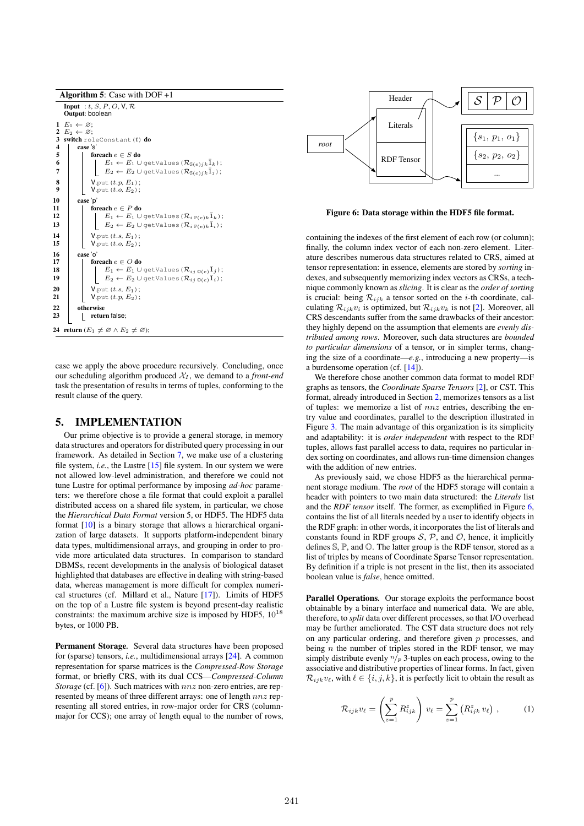

case we apply the above procedure recursively. Concluding, once our scheduling algorithm produced  $X_I$ , we demand to a *front-end* task the presentation of results in terms of tuples, conforming to the result clause of the query.

#### 5. IMPLEMENTATION

Our prime objective is to provide a general storage, in memory data structures and operators for distributed query processing in our framework. As detailed in Section 7, we make use of a clustering file system, *i.e.*, the Lustre [15] file system. In our system we were not allowed low-level administration, and therefore we could not tune Lustre for optimal performance by imposing *ad-hoc* parameters: we therefore chose a file format that could exploit a parallel distributed access on a shared file system, in particular, we chose the *Hierarchical Data Format* version 5, or HDF5. The HDF5 data format [10] is a binary storage that allows a hierarchical organization of large datasets. It supports platform-independent binary data types, multidimensional arrays, and grouping in order to provide more articulated data structures. In comparison to standard DBMSs, recent developments in the analysis of biological dataset highlighted that databases are effective in dealing with string-based data, whereas management is more difficult for complex numerical structures (cf. Millard et al., Nature [17]). Limits of HDF5 on the top of a Lustre file system is beyond present-day realistic constraints: the maximum archive size is imposed by HDF5,  $10^{18}$ bytes, or 1000 PB.

Permanent Storage*.* Several data structures have been proposed for (sparse) tensors, *i.e.*, multidimensional arrays [24]. A common representation for sparse matrices is the *Compressed-Row Storage* format, or briefly CRS, with its dual CCS—*Compressed-Column Storage* (cf. [6]). Such matrices with  $nnz$  non-zero entries, are represented by means of three different arrays: one of length  $nnz$  representing all stored entries, in row-major order for CRS (columnmajor for CCS); one array of length equal to the number of rows,



Figure 6: Data storage within the HDF5 file format.

containing the indexes of the first element of each row (or column); finally, the column index vector of each non-zero element. Literature describes numerous data structures related to CRS, aimed at tensor representation: in essence, elements are stored by *sorting* indexes, and subsequently memorizing index vectors as CRSs, a technique commonly known as *slicing*. It is clear as the *order of sorting* is crucial: being  $\mathcal{R}_{ijk}$  a tensor sorted on the *i*-th coordinate, calculating  $\mathcal{R}_{ijk}v_i$  is optimized, but  $\mathcal{R}_{ijk}v_k$  is not [2]. Moreover, all CRS descendants suffer from the same drawbacks of their ancestor: they highly depend on the assumption that elements are *evenly distributed among rows*. Moreover, such data structures are *bounded to particular dimensions* of a tensor, or in simpler terms, changing the size of a coordinate—*e.g.*, introducing a new property—is a burdensome operation (cf. [14]).

We therefore chose another common data format to model RDF graphs as tensors, the *Coordinate Sparse Tensors* [2], or CST. This format, already introduced in Section 2, memorizes tensors as a list of tuples: we memorize a list of  $nnz$  entries, describing the entry value and coordinates, parallel to the description illustrated in Figure 3. The main advantage of this organization is its simplicity and adaptability: it is *order independent* with respect to the RDF tuples, allows fast parallel access to data, requires no particular index sorting on coordinates, and allows run-time dimension changes with the addition of new entries.

As previously said, we chose HDF5 as the hierarchical permanent storage medium. The *root* of the HDF5 storage will contain a header with pointers to two main data structured: the *Literals* list and the *RDF tensor* itself. The former, as exemplified in Figure 6, contains the list of all literals needed by a user to identify objects in the RDF graph: in other words, it incorporates the list of literals and constants found in RDF groups  $S$ ,  $\overline{P}$ , and  $\overline{O}$ , hence, it implicitly defines S, P, and O. The latter group is the RDF tensor, stored as a list of triples by means of Coordinate Sparse Tensor representation. By definition if a triple is not present in the list, then its associated boolean value is *false*, hence omitted.

Parallel Operations*.* Our storage exploits the performance boost obtainable by a binary interface and numerical data. We are able, therefore, to *split* data over different processes, so that I/O overhead may be further ameliorated. The CST data structure does not rely on any particular ordering, and therefore given  $p$  processes, and being  $n$  the number of triples stored in the RDF tensor, we may simply distribute evenly  $n/p$  3-tuples on each process, owing to the associative and distributive properties of linear forms. In fact, given  $\mathcal{R}_{ijk}v_{\ell}$ , with  $\ell \in \{i, j, k\}$ , it is perfectly licit to obtain the result as

$$
\mathcal{R}_{ijk}v_{\ell} = \left(\sum_{z=1}^{p} R_{ijk}^{z}\right)v_{\ell} = \sum_{z=1}^{p} \left(R_{ijk}^{z}v_{\ell}\right),\qquad(1)
$$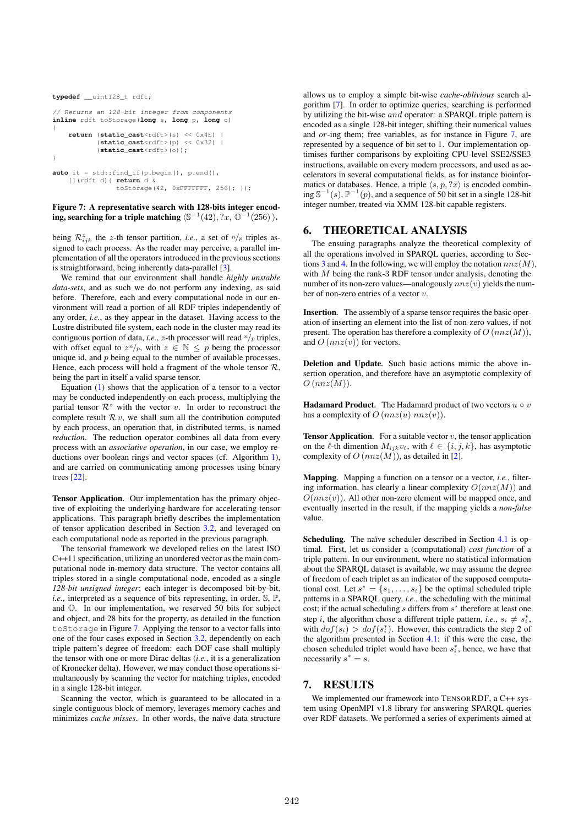```
typedef __uint128_t rdft;
// Returns an 128-bit integer from components
inline rdft toStorage(long s, long p, long o)
{
    return (static_cast<rdft>(s) << 0x4E) |
            (static_cast<rdft>(p) << 0x32) |
           (static_cast<rdft>(o));
}
auto it = std::find_if(p.begin(), p.end(),
    [](rdft d){ return d &
                toStorage(42, 0xFFFFFFF, 256); });
```
#### Figure 7: A representative search with 128-bits integer encoding, searching for a triple matching  $\langle \mathbb{S}^{-1}(42), ?x, \mathbb{O}^{-1}(256) \rangle$ .

being  $\mathcal{R}_{ijk}^z$  the z-th tensor partition, *i.e.*, a set of  $n/p$  triples assigned to each process. As the reader may perceive, a parallel implementation of all the operators introduced in the previous sections is straightforward, being inherently data-parallel [3].

We remind that our environment shall handle *highly unstable data-sets*, and as such we do not perform any indexing, as said before. Therefore, each and every computational node in our environment will read a portion of all RDF triples independently of any order, *i.e.*, as they appear in the dataset. Having access to the Lustre distributed file system, each node in the cluster may read its contiguous portion of data, *i.e.*,  $z$ -th processor will read  $n/p$  triples, with offset equal to  $z^n/p$ , with  $z \in \mathbb{N} \leq p$  being the processor unique id, and  $p$  being equal to the number of available processes. Hence, each process will hold a fragment of the whole tensor  $\mathcal{R}$ , being the part in itself a valid sparse tensor.

Equation (1) shows that the application of a tensor to a vector may be conducted independently on each process, multiplying the partial tensor  $\mathcal{R}^z$  with the vector v. In order to reconstruct the complete result  $\mathcal{R} v$ , we shall sum all the contribution computed by each process, an operation that, in distributed terms, is named *reduction*. The reduction operator combines all data from every process with an *associative operation*, in our case, we employ reductions over boolean rings and vector spaces (cf. Algorithm 1), and are carried on communicating among processes using binary trees [22].

Tensor Application*.* Our implementation has the primary objective of exploiting the underlying hardware for accelerating tensor applications. This paragraph briefly describes the implementation of tensor application described in Section 3.2, and leveraged on each computational node as reported in the previous paragraph.

The tensorial framework we developed relies on the latest ISO C++11 specification, utilizing an unordered vector as the main computational node in-memory data structure. The vector contains all triples stored in a single computational node, encoded as a single *128-bit unsigned integer*; each integer is decomposed bit-by-bit, *i.e.*, interpreted as a sequence of bits representing, in order,  $\mathbb{S}, \mathbb{P},$ and O. In our implementation, we reserved 50 bits for subject and object, and 28 bits for the property, as detailed in the function toStorage in Figure 7. Applying the tensor to a vector falls into one of the four cases exposed in Section 3.2, dependently on each triple pattern's degree of freedom: each DOF case shall multiply the tensor with one or more Dirac deltas (*i.e.*, it is a generalization of Kronecker delta). However, we may conduct those operations simultaneously by scanning the vector for matching triples, encoded in a single 128-bit integer.

Scanning the vector, which is guaranteed to be allocated in a single contiguous block of memory, leverages memory caches and minimizes *cache misses*. In other words, the naïve data structure

allows us to employ a simple bit-wise *cache-oblivious* search algorithm [7]. In order to optimize queries, searching is performed by utilizing the bit-wise and operator: a SPARQL triple pattern is encoded as a single 128-bit integer, shifting their numerical values and or-ing them; free variables, as for instance in Figure 7, are represented by a sequence of bit set to 1. Our implementation optimises further comparisons by exploiting CPU-level SSE2/SSE3 instructions, available on every modern processors, and used as accelerators in several computational fields, as for instance bioinformatics or databases. Hence, a triple  $\langle s, p, ?x \rangle$  is encoded combining  $\mathbb{S}^{-1}(s)$ ,  $\mathbb{P}^{-1}(p)$ , and a sequence of 50 bit set in a single 128-bit integer number, treated via XMM 128-bit capable registers.

#### 6. THEORETICAL ANALYSIS

The ensuing paragraphs analyze the theoretical complexity of all the operations involved in SPARQL queries, according to Sections 3 and 4. In the following, we will employ the notation  $nnz(M)$ , with  $M$  being the rank-3 RDF tensor under analysis, denoting the number of its non-zero values—analogously  $nnz(v)$  yields the number of non-zero entries of a vector v.

Insertion*.* The assembly of a sparse tensor requires the basic operation of inserting an element into the list of non-zero values, if not present. The operation has therefore a complexity of  $O(nnz(M))$ , and  $O(nnz(v))$  for vectors.

Deletion and Update*.* Such basic actions mimic the above insertion operation, and therefore have an asymptotic complexity of  $O(nnz(M))$ .

**Hadamard Product**. The Hadamard product of two vectors  $u \circ v$ has a complexity of  $O(nnz(u)$   $nnz(v))$ .

**Tensor Application.** For a suitable vector  $v$ , the tensor application on the  $\ell$ -th dimention  $M_{iik}v_{\ell}$ , with  $\ell \in \{i, j, k\}$ , has asymptotic complexity of  $O(nnz(M))$ , as detailed in [2].

Mapping*.* Mapping a function on a tensor or a vector, *i.e.*, filtering information, has clearly a linear complexity  $O(nnz(M))$  and  $O(nnz(v))$ . All other non-zero element will be mapped once, and eventually inserted in the result, if the mapping yields a *non-false* value.

Scheduling*.* The naïve scheduler described in Section 4.1 is optimal. First, let us consider a (computational) *cost function* of a triple pattern. In our environment, where no statistical information about the SPARQL dataset is available, we may assume the degree of freedom of each triplet as an indicator of the supposed computational cost. Let  $s^* = \{s_1, \ldots, s_t\}$  be the optimal scheduled triple patterns in a SPARQL query, *i.e.*, the scheduling with the minimal cost; if the actual scheduling  $s$  differs from  $s^*$  therefore at least one step *i*, the algorithm chose a different triple pattern, *i.e.*,  $s_i \neq s_i^*$ , with  $dof(s_i) > dof(s_i^*)$ . However, this contradicts the step 2 of the algorithm presented in Section 4.1: if this were the case, the chosen scheduled triplet would have been  $s_i^*$ , hence, we have that necessarily  $s^* = s$ .

## 7. RESULTS

We implemented our framework into TENSORRDF, a C++ system using OpenMPI v1.8 library for answering SPARQL queries over RDF datasets. We performed a series of experiments aimed at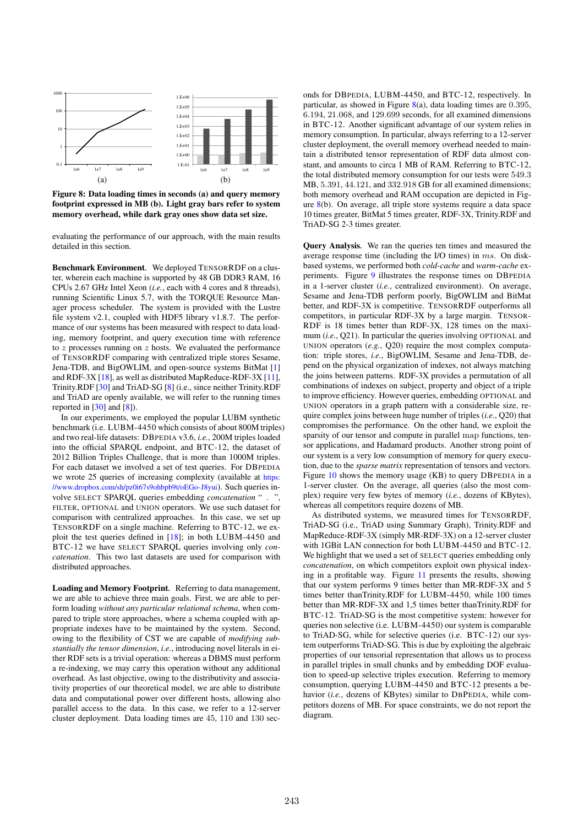

Figure 8: Data loading times in seconds (a) and query memory footprint expressed in MB (b). Light gray bars refer to system memory overhead, while dark gray ones show data set size.

evaluating the performance of our approach, with the main results detailed in this section.

Benchmark Environment*.* We deployed TENSORRDF on a cluster, wherein each machine is supported by 48 GB DDR3 RAM, 16 CPUs 2.67 GHz Intel Xeon (*i.e.*, each with 4 cores and 8 threads), running Scientific Linux 5.7, with the TORQUE Resource Manager process scheduler. The system is provided with the Lustre file system v2.1, coupled with HDF5 library v1.8.7. The performance of our systems has been measured with respect to data loading, memory footprint, and query execution time with reference to  $z$  processes running on  $z$  hosts. We evaluated the performance of TENSORRDF comparing with centralized triple stores Sesame, Jena-TDB, and BigOWLIM, and open-source systems BitMat [1] and RDF-3X [18], as well as distributed MapReduce-RDF-3X [11], Trinity.RDF [30] and TriAD-SG [8] (i.e., since neither Trinity.RDF and TriAD are openly available, we will refer to the running times reported in [30] and [8]).

In our experiments, we employed the popular LUBM synthetic benchmark (i.e. LUBM-4450 which consists of about 800M triples) and two real-life datasets: DBPEDIA v3.6, *i.e.*, 200M triples loaded into the official SPARQL endpoint, and BTC-12, the dataset of 2012 Billion Triples Challenge, that is more than 1000M triples. For each dataset we involved a set of test queries. For DBPEDIA we wrote 25 queries of increasing complexity (available at https: //www.dropbox.com/sh/pz0i67s9ohbpb9t/oEGo-J8yui). Such queries involve SELECT SPARQL queries embedding *concatenation* " . ", FILTER, OPTIONAL and UNION operators. We use such dataset for comparison with centralized approaches. In this case, we set up TENSORRDF on a single machine. Referring to BTC-12, we exploit the test queries defined in [18]; in both LUBM-4450 and BTC-12 we have SELECT SPARQL queries involving only *concatenation*. This two last datasets are used for comparison with distributed approaches.

Loading and Memory Footprint*.* Referring to data management, we are able to achieve three main goals. First, we are able to perform loading *without any particular relational schema*, when compared to triple store approaches, where a schema coupled with appropriate indexes have to be maintained by the system. Second, owing to the flexibility of CST we are capable of *modifying substantially the tensor dimension*, *i.e.*, introducing novel literals in either RDF sets is a trivial operation: whereas a DBMS must perform a re-indexing, we may carry this operation without any additional overhead. As last objective, owing to the distributivity and associativity properties of our theoretical model, we are able to distribute data and computational power over different hosts, allowing also parallel access to the data. In this case, we refer to a 12-server cluster deployment. Data loading times are 45, 110 and 130 sec-

onds for DBPEDIA, LUBM-4450, and BTC-12, respectively. In particular, as showed in Figure  $8(a)$ , data loading times are 0.395, 6.194, 21.068, and 129.699 seconds, for all examined dimensions in BTC-12. Another significant advantage of our system relies in memory consumption. In particular, always referring to a 12-server cluster deployment, the overall memory overhead needed to maintain a distributed tensor representation of RDF data almost constant, and amounts to circa 1 MB of RAM. Referring to BTC-12, the total distributed memory consumption for our tests were 549.3 MB, 5.391, 44.121, and 332.918 GB for all examined dimensions; both memory overhead and RAM occupation are depicted in Figure 8(b). On average, all triple store systems require a data space 10 times greater, BitMat 5 times greater, RDF-3X, Trinity.RDF and TriAD-SG 2-3 times greater.

Query Analysis*.* We ran the queries ten times and measured the average response time (including the I/O times) in ms. On diskbased systems, we performed both *cold-cache* and *warm-cache* experiments. Figure 9 illustrates the response times on DBPEDIA in a 1-server cluster (*i.e.*, centralized environment). On average, Sesame and Jena-TDB perform poorly, BigOWLIM and BitMat better, and RDF-3X is competitive. TENSORRDF outperforms all competitors, in particular RDF-3X by a large margin. TENSOR-RDF is 18 times better than RDF-3X, 128 times on the maximum (*i.e.*, Q21). In particular the queries involving OPTIONAL and UNION operators (*e.g.*, Q20) require the most complex computation: triple stores, *i.e.*, BigOWLIM, Sesame and Jena-TDB, depend on the physical organization of indexes, not always matching the joins between patterns. RDF-3X provides a permutation of all combinations of indexes on subject, property and object of a triple to improve efficiency. However queries, embedding OPTIONAL and UNION operators in a graph pattern with a considerable size, require complex joins between huge number of triples (*i.e.*, Q20) that compromises the performance. On the other hand, we exploit the sparsity of our tensor and compute in parallel map functions, tensor applications, and Hadamard products. Another strong point of our system is a very low consumption of memory for query execution, due to the *sparse matrix* representation of tensors and vectors. Figure 10 shows the memory usage (KB) to query DBPEDIA in a 1-server cluster. On the average, all queries (also the most complex) require very few bytes of memory (*i.e.*, dozens of KBytes), whereas all competitors require dozens of MB.

As distributed systems, we measured times for TENSORRDF, TriAD-SG (i.e., TriAD using Summary Graph), Trinity.RDF and MapReduce-RDF-3X (simply MR-RDF-3X) on a 12-server cluster with 1GBit LAN connection for both LUBM-4450 and BTC-12. We highlight that we used a set of SELECT queries embedding only *concatenation*, on which competitors exploit own physical indexing in a profitable way. Figure 11 presents the results, showing that our system performs 9 times better than MR-RDF-3X and 5 times better thanTrinity.RDF for LUBM-4450, while 100 times better than MR-RDF-3X and 1,5 times better thanTrinity.RDF for BTC-12. TriAD-SG is the most competitive system: however for queries non selective (i.e. LUBM-4450) our system is comparable to TriAD-SG, while for selective queries (i.e. BTC-12) our system outperforms TriAD-SG. This is due by exploiting the algebraic properties of our tensorial representation that allows us to process in parallel triples in small chunks and by embedding DOF evaluation to speed-up selective triples execution. Referring to memory consumption, querying LUBM-4450 and BTC-12 presents a behavior (*i.e.*, dozens of KBytes) similar to DBPEDIA, while competitors dozens of MB. For space constraints, we do not report the diagram.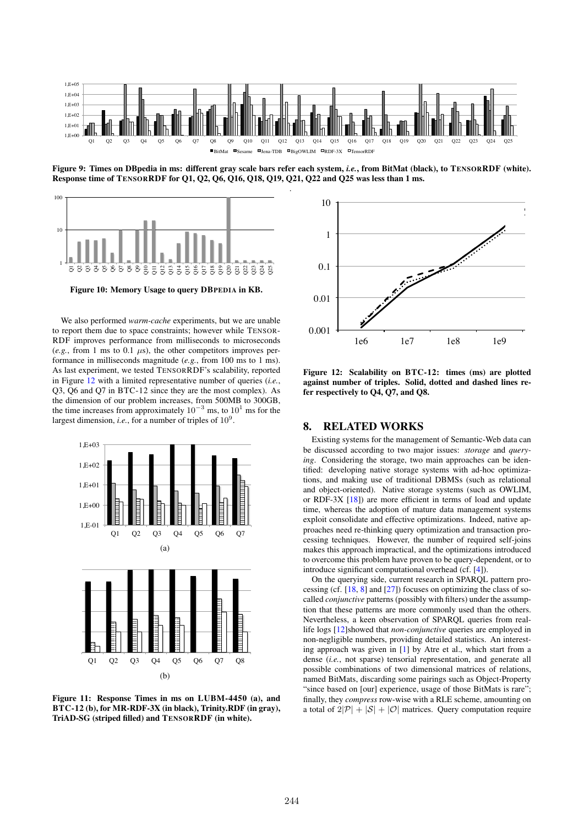

Figure 9: Times on DBpedia in ms: different gray scale bars refer each system, *i.e.*, from BitMat (black), to TENSORRDF (white). Response time of TENSORRDF for Q1, Q2, Q6, Q16, Q18, Q19, Q21, Q22 and Q25 was less than 1 ms. .



Figure 10: Memory Usage to query DBPEDIA in KB.

We also performed *warm-cache* experiments, but we are unable to report them due to space constraints; however while TENSOR-RDF improves performance from milliseconds to microseconds  $(e.g., from 1 ms to 0.1 us)$ , the other competitors improves performance in milliseconds magnitude (*e.g.*, from 100 ms to 1 ms). As last experiment, we tested TENSORRDF's scalability, reported in Figure 12 with a limited representative number of queries (*i.e.*, Q3, Q6 and Q7 in BTC-12 since they are the most complex). As the dimension of our problem increases, from 500MB to 300GB, the time increases from approximately  $10^{-3}$  ms, to  $10^{1}$  ms for the largest dimension, *i.e.*, for a number of triples of  $10^9$ .



Figure 11: Response Times in ms on LUBM-4450 (a), and BTC-12 (b), for MR-RDF-3X (in black), Trinity.RDF (in gray), TriAD-SG (striped filled) and TENSORRDF (in white).



Figure 12: Scalability on BTC-12: times (ms) are plotted against number of triples. Solid, dotted and dashed lines refer respectively to Q4, Q7, and Q8.

### 8. RELATED WORKS

Existing systems for the management of Semantic-Web data can be discussed according to two major issues: *storage* and *querying*. Considering the storage, two main approaches can be identified: developing native storage systems with ad-hoc optimizations, and making use of traditional DBMSs (such as relational and object-oriented). Native storage systems (such as OWLIM, or RDF-3X  $[18]$  are more efficient in terms of load and update time, whereas the adoption of mature data management systems exploit consolidate and effective optimizations. Indeed, native approaches need re-thinking query optimization and transaction processing techniques. However, the number of required self-joins makes this approach impractical, and the optimizations introduced to overcome this problem have proven to be query-dependent, or to introduce significant computational overhead (cf. [4]).

On the querying side, current research in SPARQL pattern processing (cf.  $[18, 8]$  and  $[27]$ ) focuses on optimizing the class of socalled *conjunctive* patterns (possibly with filters) under the assumption that these patterns are more commonly used than the others. Nevertheless, a keen observation of SPARQL queries from reallife logs [12]showed that *non-conjunctive* queries are employed in non-negligible numbers, providing detailed statistics. An interesting approach was given in [1] by Atre et al., which start from a dense (*i.e.*, not sparse) tensorial representation, and generate all possible combinations of two dimensional matrices of relations, named BitMats, discarding some pairings such as Object-Property "since based on [our] experience, usage of those BitMats is rare"; finally, they *compress* row-wise with a RLE scheme, amounting on a total of  $2|\mathcal{P}| + |\mathcal{S}| + |\mathcal{O}|$  matrices. Query computation require